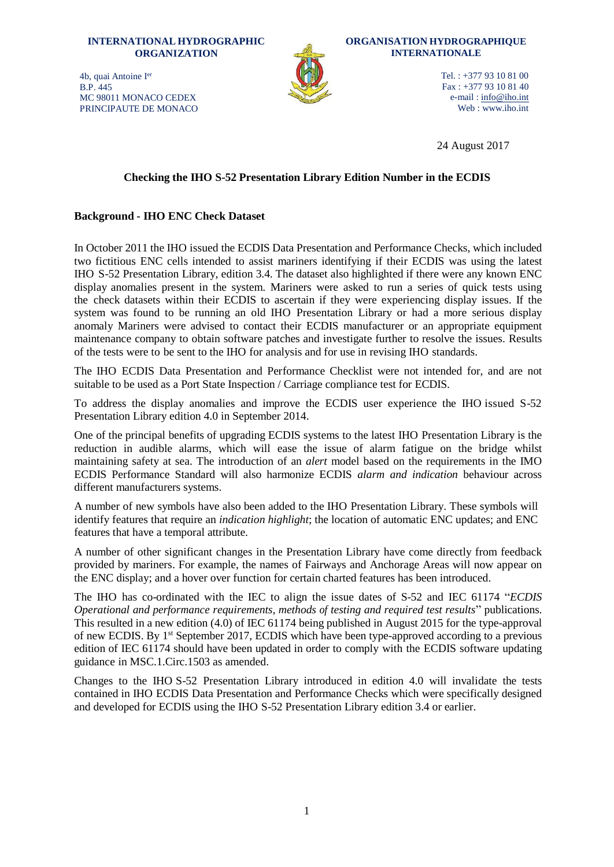**INTERNATIONAL HYDROGRAPHIC ORGANIZATION** 4b, quai Antoine I er B.P. 445 MC 98011 MONACO CEDEX



**ORGANISATION HYDROGRAPHIQUE INTERNATIONALE**

> Tel. : +377 93 10 81 00 Fax : +377 93 10 81 40 e-mail : [info@iho.int](mailto:info@iho.int) Web : [www.iho.int](http://www.iho.int/)

24 August 2017

# **Checking the IHO S-52 Presentation Library Edition Number in the ECDIS**

### **Background - IHO ENC Check Dataset**

PRINCIPAUTE DE MONACO

In October 2011 the IHO issued the ECDIS Data Presentation and Performance Checks, which included two fictitious ENC cells intended to assist mariners identifying if their ECDIS was using the latest IHO S-52 Presentation Library, edition 3.4. The dataset also highlighted if there were any known ENC display anomalies present in the system. Mariners were asked to run a series of quick tests using the check datasets within their ECDIS to ascertain if they were experiencing display issues. If the system was found to be running an old IHO Presentation Library or had a more serious display anomaly Mariners were advised to contact their ECDIS manufacturer or an appropriate equipment maintenance company to obtain software patches and investigate further to resolve the issues. Results of the tests were to be sent to the IHO for analysis and for use in revising IHO standards.

The IHO ECDIS Data Presentation and Performance Checklist were not intended for, and are not suitable to be used as a Port State Inspection / Carriage compliance test for ECDIS.

To address the display anomalies and improve the ECDIS user experience the IHO issued S-52 Presentation Library edition 4.0 in September 2014.

One of the principal benefits of upgrading ECDIS systems to the latest IHO Presentation Library is the reduction in audible alarms, which will ease the issue of alarm fatigue on the bridge whilst maintaining safety at sea. The introduction of an *alert* model based on the requirements in the IMO ECDIS Performance Standard will also harmonize ECDIS *alarm and indication* behaviour across different manufacturers systems.

A number of new symbols have also been added to the IHO Presentation Library. These symbols will identify features that require an *indication highlight*; the location of automatic ENC updates; and ENC features that have a temporal attribute.

A number of other significant changes in the Presentation Library have come directly from feedback provided by mariners. For example, the names of Fairways and Anchorage Areas will now appear on the ENC display; and a hover over function for certain charted features has been introduced.

The IHO has co-ordinated with the IEC to align the issue dates of S-52 and IEC 61174 "*ECDIS Operational and performance requirements, methods of testing and required test results*" publications. This resulted in a new edition (4.0) of IEC 61174 being published in August 2015 for the type-approval of new ECDIS. By 1<sup>st</sup> September 2017, ECDIS which have been type-approved according to a previous edition of IEC 61174 should have been updated in order to comply with the ECDIS software updating guidance in MSC.1.Circ.1503 as amended.

Changes to the IHO S-52 Presentation Library introduced in edition 4.0 will invalidate the tests contained in IHO ECDIS Data Presentation and Performance Checks which were specifically designed and developed for ECDIS using the IHO S-52 Presentation Library edition 3.4 or earlier.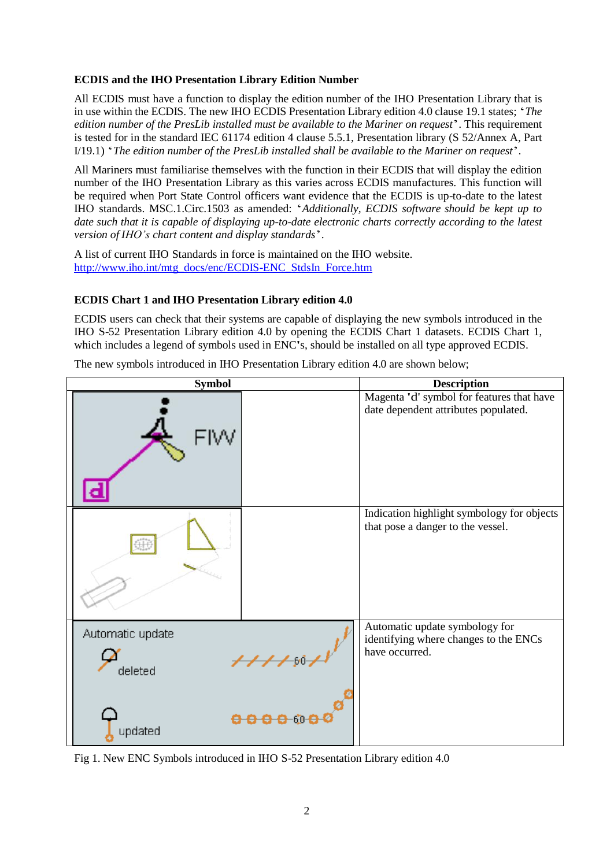### **ECDIS and the IHO Presentation Library Edition Number**

All ECDIS must have a function to display the edition number of the IHO Presentation Library that is in use within the ECDIS. The new IHO ECDIS Presentation Library edition 4.0 clause 19.1 states; '*The edition number of the PresLib installed must be available to the Mariner on request*'. This requirement is tested for in the standard IEC 61174 edition 4 clause 5.5.1, Presentation library (S 52/Annex A, Part I/19.1) '*The edition number of the PresLib installed shall be available to the Mariner on request*'*.*

All Mariners must familiarise themselves with the function in their ECDIS that will display the edition number of the IHO Presentation Library as this varies across ECDIS manufactures. This function will be required when Port State Control officers want evidence that the ECDIS is up-to-date to the latest IHO standards. MSC.1.Circ.1503 as amended: '*Additionally, ECDIS software should be kept up to date such that it is capable of displaying up-to-date electronic charts correctly according to the latest version of IHO's chart content and display standards*'.

A list of current IHO Standards in force is maintained on the IHO website. [http://www.iho.int/mtg\\_docs/enc/ECDIS-ENC\\_StdsIn\\_Force.htm](http://www.iho.int/mtg_docs/enc/ECDIS-ENC_StdsIn_Force.htm)

#### **ECDIS Chart 1 and IHO Presentation Library edition 4.0**

ECDIS users can check that their systems are capable of displaying the new symbols introduced in the IHO S-52 Presentation Library edition 4.0 by opening the ECDIS Chart 1 datasets. ECDIS Chart 1, which includes a legend of symbols used in ENC's, should be installed on all type approved ECDIS.

The new symbols introduced in IHO Presentation Library edition 4.0 are shown below;



Fig 1. New ENC Symbols introduced in IHO S-52 Presentation Library edition 4.0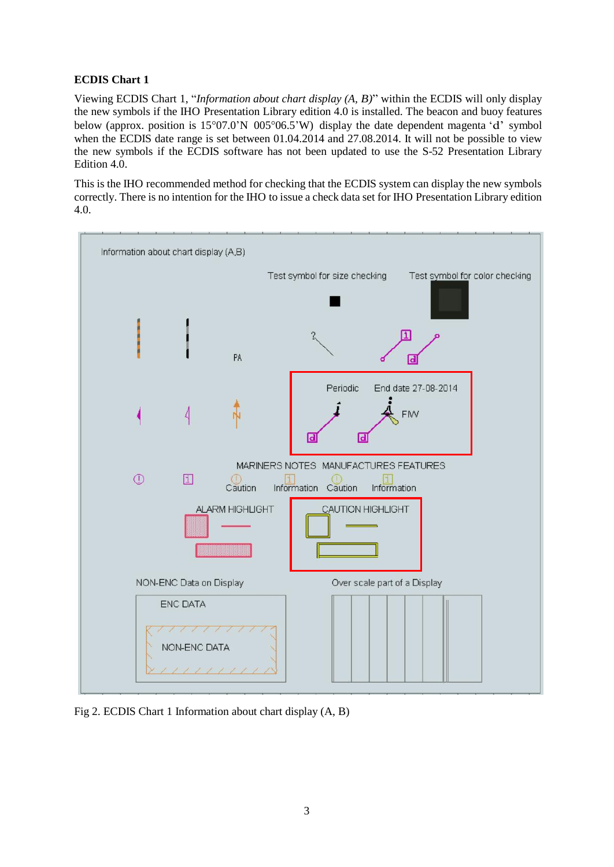# **ECDIS Chart 1**

Viewing ECDIS Chart 1, "*Information about chart display (A, B)*" within the ECDIS will only display the new symbols if the IHO Presentation Library edition 4.0 is installed. The beacon and buoy features below (approx. position is  $15^{\circ}07.0^{\prime}N$  005°06.5'W) display the date dependent magenta 'd' symbol when the ECDIS date range is set between 01.04.2014 and 27.08.2014. It will not be possible to view the new symbols if the ECDIS software has not been updated to use the S-52 Presentation Library Edition 4.0.

This is the IHO recommended method for checking that the ECDIS system can display the new symbols correctly. There is no intention for the IHO to issue a check data set for IHO Presentation Library edition 4.0.



Fig 2. ECDIS Chart 1 Information about chart display (A, B)